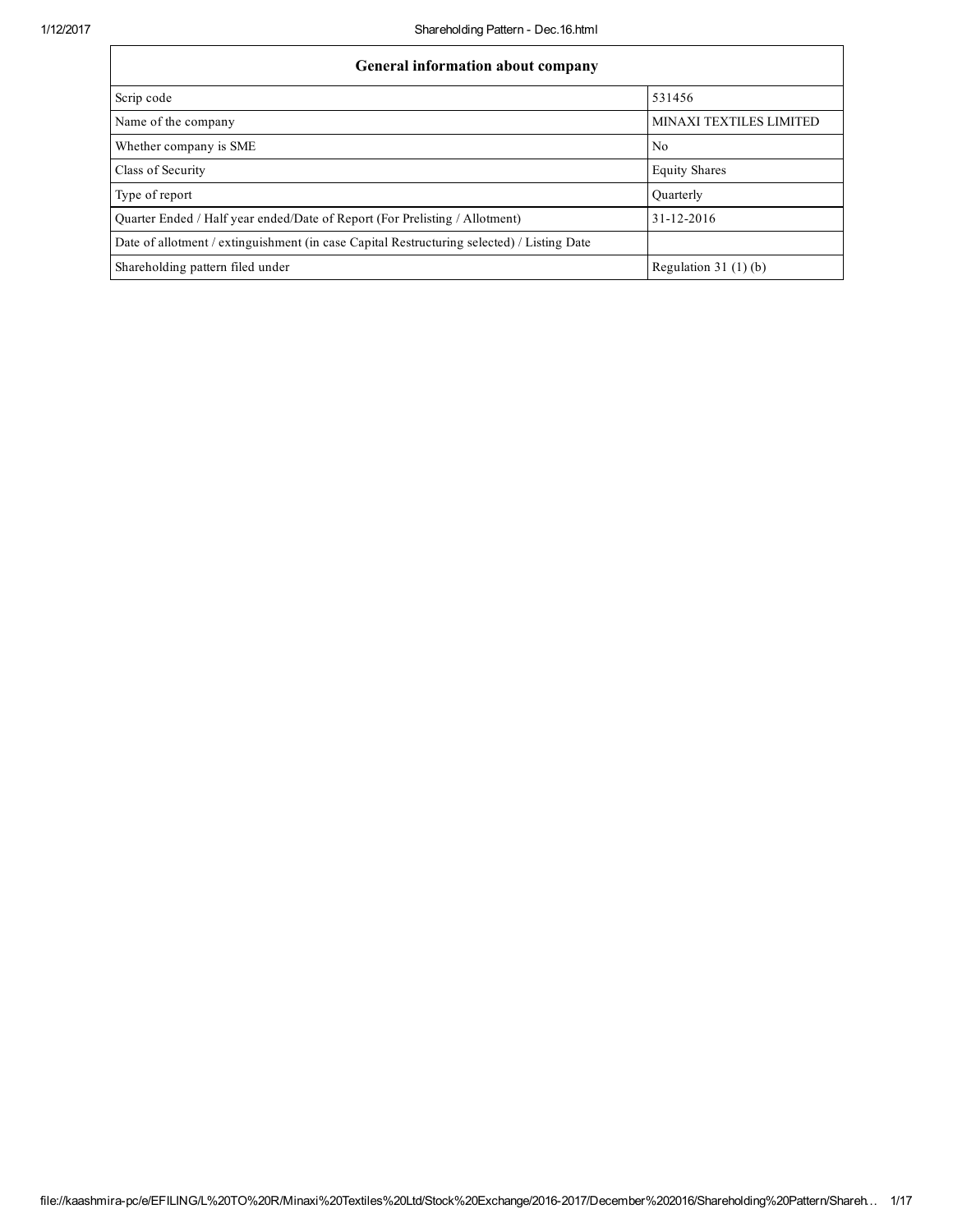| <b>General information about company</b>                                                   |                         |
|--------------------------------------------------------------------------------------------|-------------------------|
| Scrip code                                                                                 | 531456                  |
| Name of the company                                                                        | MINAXI TEXTILES LIMITED |
| Whether company is SME                                                                     | N <sub>0</sub>          |
| Class of Security                                                                          | <b>Equity Shares</b>    |
| Type of report                                                                             | Quarterly               |
| Quarter Ended / Half year ended/Date of Report (For Prelisting / Allotment)                | 31-12-2016              |
| Date of allotment / extinguishment (in case Capital Restructuring selected) / Listing Date |                         |
| Shareholding pattern filed under                                                           | Regulation 31 $(1)(b)$  |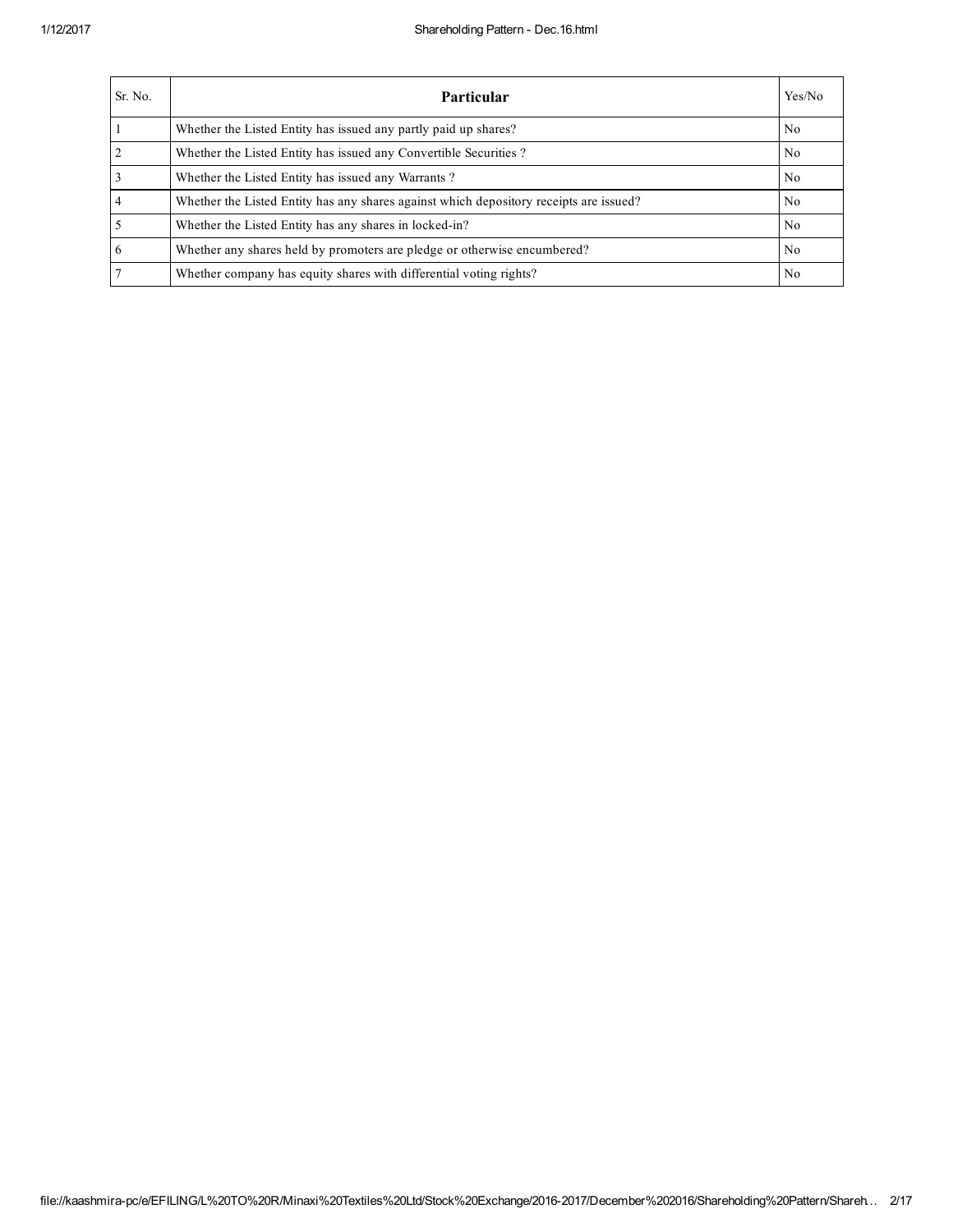## 1/12/2017 Shareholding Pattern Dec.16.html

| Sr. No.         | Particular                                                                             | Yes/No         |
|-----------------|----------------------------------------------------------------------------------------|----------------|
|                 | Whether the Listed Entity has issued any partly paid up shares?                        | N <sub>0</sub> |
| $\overline{2}$  | Whether the Listed Entity has issued any Convertible Securities?                       | N <sub>0</sub> |
| $\overline{3}$  | Whether the Listed Entity has issued any Warrants?                                     | N <sub>0</sub> |
| $\overline{4}$  | Whether the Listed Entity has any shares against which depository receipts are issued? | N <sub>0</sub> |
| $\overline{5}$  | Whether the Listed Entity has any shares in locked-in?                                 | N <sub>0</sub> |
| $6\overline{6}$ | Whether any shares held by promoters are pledge or otherwise encumbered?               | N <sub>0</sub> |
| $\overline{7}$  | Whether company has equity shares with differential voting rights?                     | N <sub>0</sub> |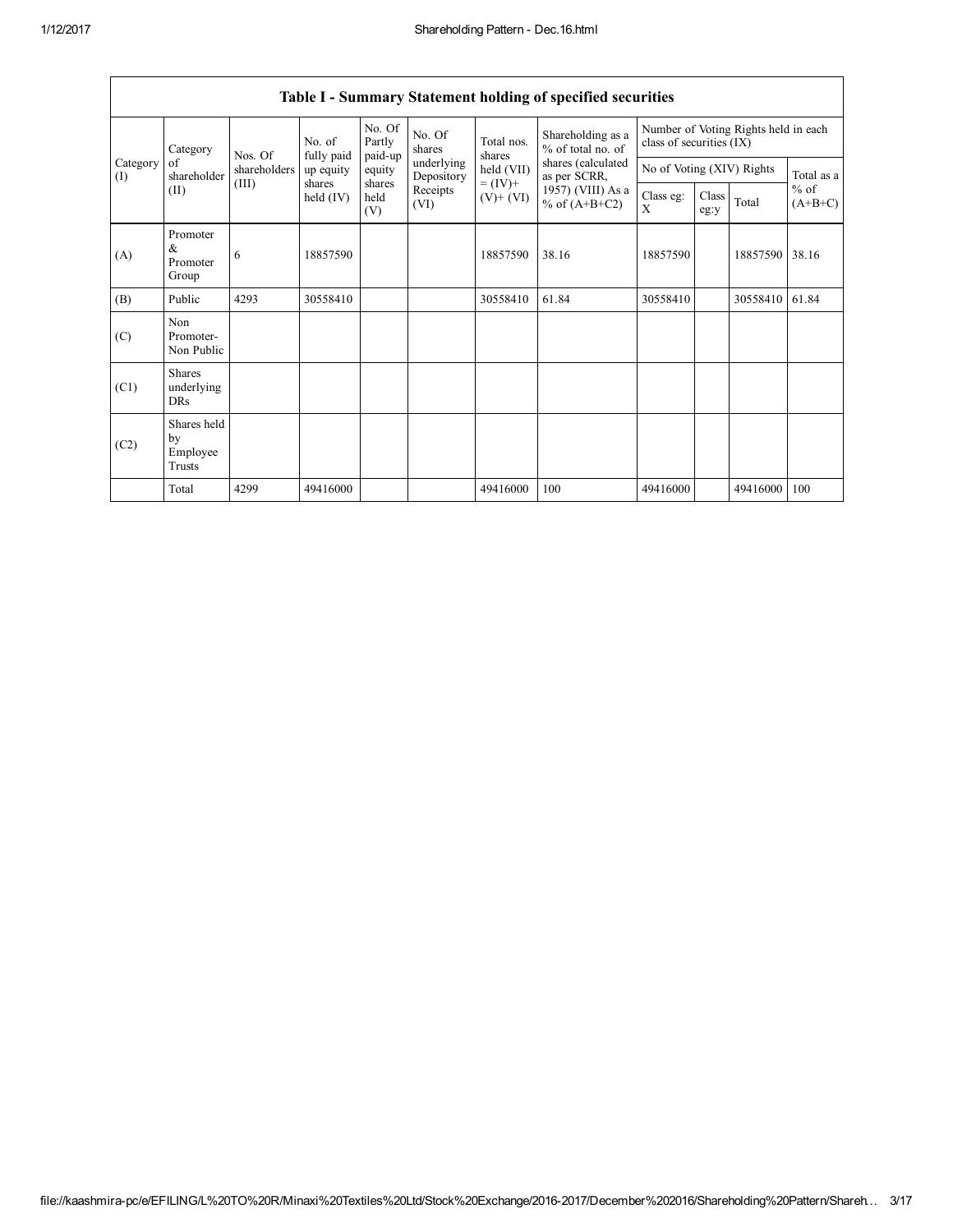|                 | Category                                | Nos. Of      | No. of<br>fully paid  | No. Of<br>Partly<br>paid-up | No. Of<br>shares         | Total nos.<br>shares                       | Shareholding as a<br>% of total no. of<br>shares (calculated<br>as per SCRR,<br>1957) (VIII) As a<br>% of $(A+B+C2)$ | Number of Voting Rights held in each<br>class of securities (IX) |               |          |                     |
|-----------------|-----------------------------------------|--------------|-----------------------|-----------------------------|--------------------------|--------------------------------------------|----------------------------------------------------------------------------------------------------------------------|------------------------------------------------------------------|---------------|----------|---------------------|
| Category<br>(I) | of<br>shareholder                       | shareholders | up equity             | equity                      | underlying<br>Depository | held (VII)<br>$= (IV) +$<br>$(V)$ + $(VI)$ |                                                                                                                      | No of Voting (XIV) Rights                                        |               |          | Total as a          |
|                 | (II)                                    | (III)        | shares<br>held $(IV)$ | shares<br>held<br>(V)       | Receipts<br>(VI)         |                                            |                                                                                                                      | Class eg:<br>X                                                   | Class<br>eg:y | Total    | $%$ of<br>$(A+B+C)$ |
| (A)             | Promoter<br>&<br>Promoter<br>Group      | 6            | 18857590              |                             |                          | 18857590                                   | 38.16                                                                                                                | 18857590                                                         |               | 18857590 | 38.16               |
| (B)             | Public                                  | 4293         | 30558410              |                             |                          | 30558410                                   | 61.84                                                                                                                | 30558410                                                         |               | 30558410 | 61.84               |
| (C)             | Non<br>Promoter-<br>Non Public          |              |                       |                             |                          |                                            |                                                                                                                      |                                                                  |               |          |                     |
| (C1)            | <b>Shares</b><br>underlying<br>DRs      |              |                       |                             |                          |                                            |                                                                                                                      |                                                                  |               |          |                     |
| (C2)            | Shares held<br>by<br>Employee<br>Trusts |              |                       |                             |                          |                                            |                                                                                                                      |                                                                  |               |          |                     |
|                 | Total                                   | 4299         | 49416000              |                             |                          | 49416000                                   | 100                                                                                                                  | 49416000                                                         |               | 49416000 | 100                 |

## Table I - Summary Statement holding of specified securities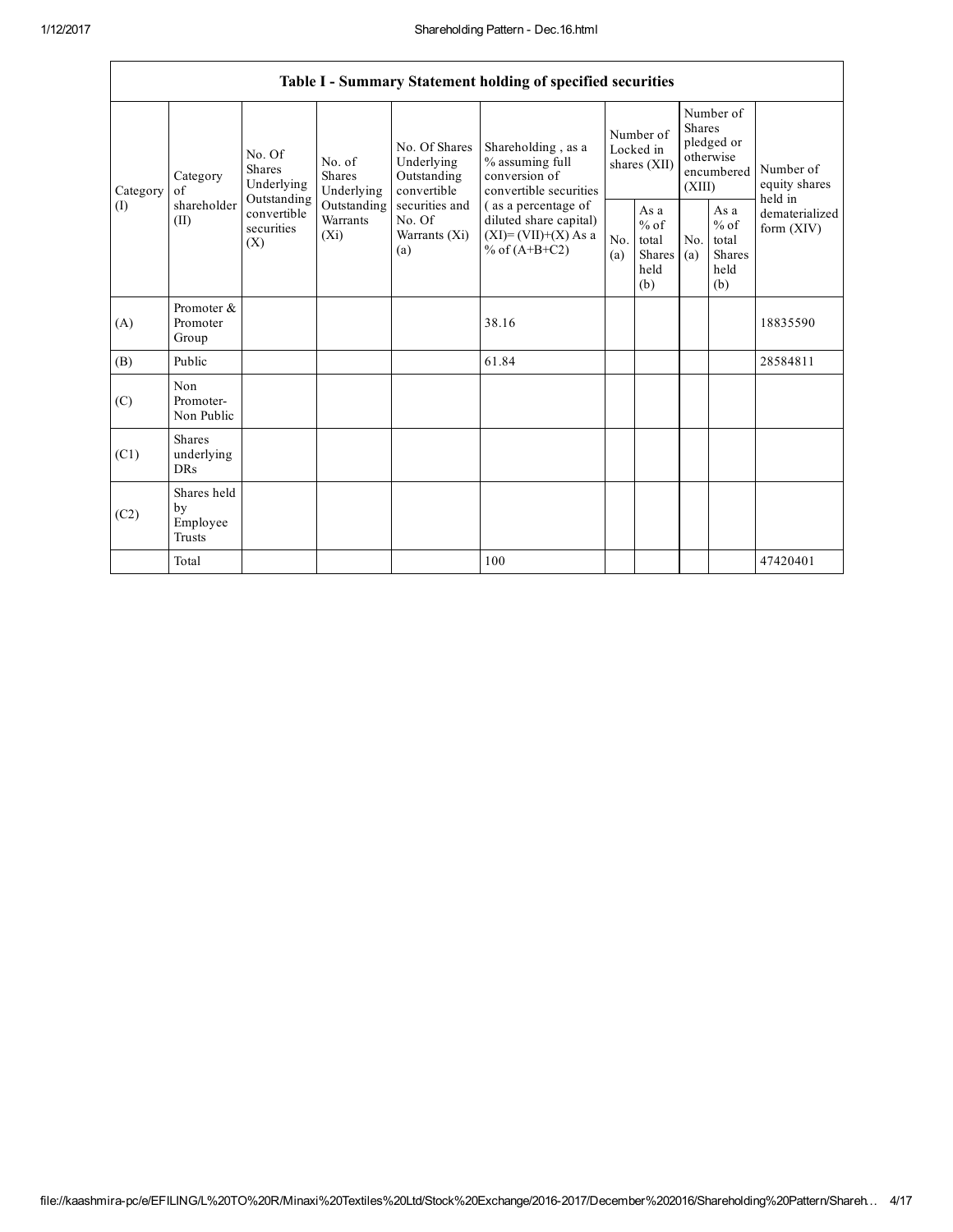٦

|                 | Table I - Summary Statement holding of specified securities |                                                                                                                                |                         |                                                                                                               |                                                                                                                                                                                 |                                        |                                                         |                                                                               |                                                  |                                       |  |
|-----------------|-------------------------------------------------------------|--------------------------------------------------------------------------------------------------------------------------------|-------------------------|---------------------------------------------------------------------------------------------------------------|---------------------------------------------------------------------------------------------------------------------------------------------------------------------------------|----------------------------------------|---------------------------------------------------------|-------------------------------------------------------------------------------|--------------------------------------------------|---------------------------------------|--|
| Category<br>(I) | Category<br>of<br>shareholder<br>(II)                       | No. Of<br>No. of<br><b>Shares</b><br><b>Shares</b><br>Underlying<br>Outstanding<br>convertible<br>securities<br>$(X_i)$<br>(X) | Underlying              | No. Of Shares<br>Underlying<br>Outstanding<br>convertible<br>securities and<br>No. Of<br>Warrants (Xi)<br>(a) | Shareholding, as a<br>% assuming full<br>conversion of<br>convertible securities<br>(as a percentage of<br>diluted share capital)<br>$(XI) = (VII)+(X) As a$<br>% of $(A+B+C2)$ | Number of<br>Locked in<br>shares (XII) |                                                         | Number of<br><b>Shares</b><br>pledged or<br>otherwise<br>encumbered<br>(XIII) |                                                  | Number of<br>equity shares<br>held in |  |
|                 |                                                             |                                                                                                                                | Outstanding<br>Warrants |                                                                                                               |                                                                                                                                                                                 | N <sub>o</sub><br>(a)                  | As a<br>$%$ of<br>total<br><b>Shares</b><br>held<br>(b) | No.<br>(a)                                                                    | As a<br>$%$ of<br>total<br>Shares<br>held<br>(b) | dematerialized<br>form $(XIV)$        |  |
| (A)             | Promoter &<br>Promoter<br>Group                             |                                                                                                                                |                         |                                                                                                               | 38.16                                                                                                                                                                           |                                        |                                                         |                                                                               |                                                  | 18835590                              |  |
| (B)             | Public                                                      |                                                                                                                                |                         |                                                                                                               | 61.84                                                                                                                                                                           |                                        |                                                         |                                                                               |                                                  | 28584811                              |  |
| (C)             | Non<br>Promoter-<br>Non Public                              |                                                                                                                                |                         |                                                                                                               |                                                                                                                                                                                 |                                        |                                                         |                                                                               |                                                  |                                       |  |
| (C1)            | <b>Shares</b><br>underlying<br><b>DRs</b>                   |                                                                                                                                |                         |                                                                                                               |                                                                                                                                                                                 |                                        |                                                         |                                                                               |                                                  |                                       |  |
| (C2)            | Shares held<br>by<br>Employee<br><b>Trusts</b>              |                                                                                                                                |                         |                                                                                                               |                                                                                                                                                                                 |                                        |                                                         |                                                                               |                                                  |                                       |  |
|                 | Total                                                       |                                                                                                                                |                         |                                                                                                               | 100                                                                                                                                                                             |                                        |                                                         |                                                                               |                                                  | 47420401                              |  |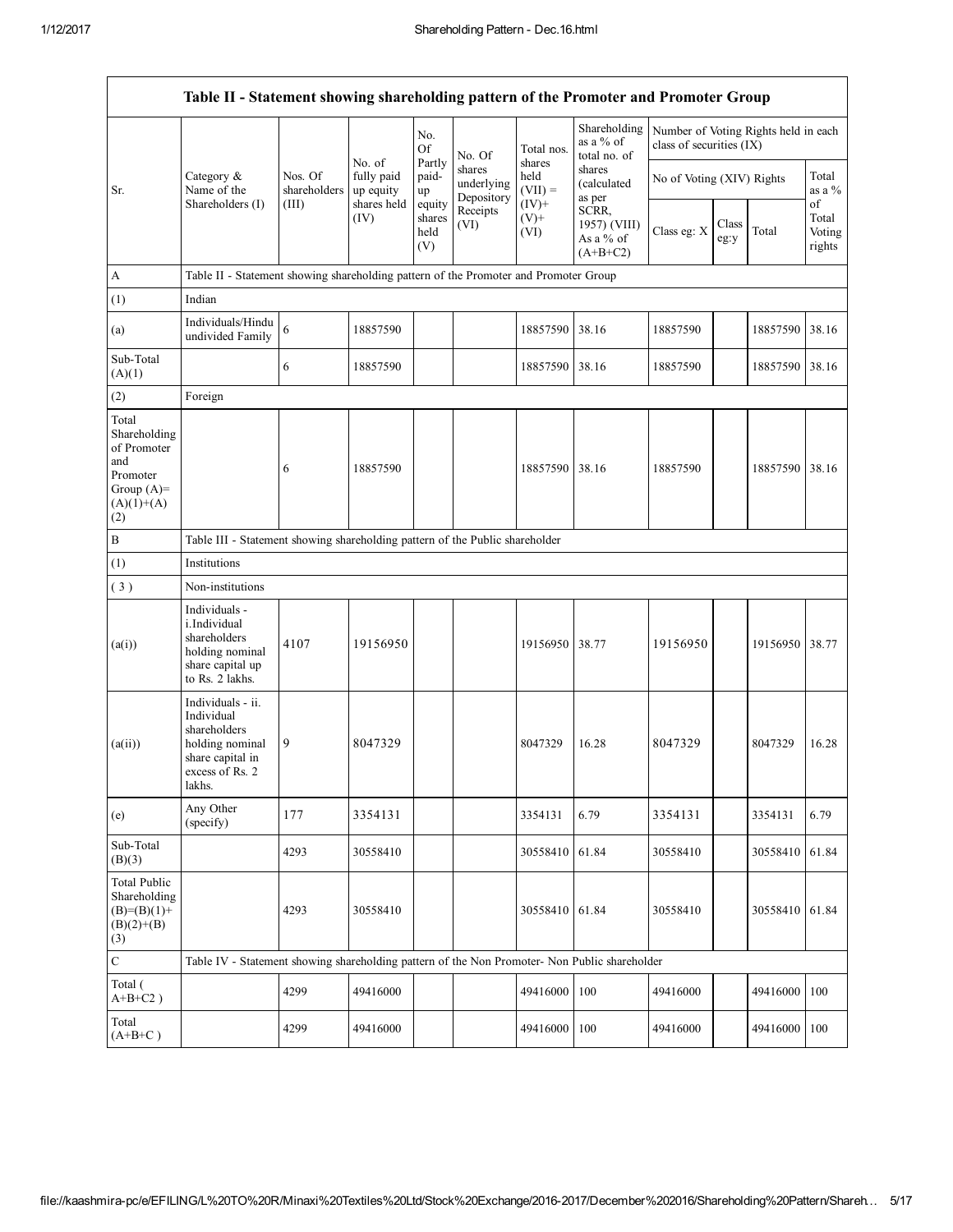|                                                                                                | Table II - Statement showing shareholding pattern of the Promoter and Promoter Group                                |                         |                                   |                                 |                                    |                                        |                                                  |                                                                  |               |          |                           |
|------------------------------------------------------------------------------------------------|---------------------------------------------------------------------------------------------------------------------|-------------------------|-----------------------------------|---------------------------------|------------------------------------|----------------------------------------|--------------------------------------------------|------------------------------------------------------------------|---------------|----------|---------------------------|
|                                                                                                |                                                                                                                     | Nos. Of<br>shareholders | No. of<br>fully paid<br>up equity | No.<br><b>Of</b>                | No. Of                             | Total nos.                             | Shareholding<br>as a % of<br>total no. of        | Number of Voting Rights held in each<br>class of securities (IX) |               |          |                           |
| Sr.                                                                                            | Category &<br>Name of the                                                                                           |                         |                                   | Partly<br>paid-<br>up           | shares<br>underlying<br>Depository | shares<br>held<br>$(VII) =$<br>$(IV)+$ | shares<br>(calculated<br>as per                  | No of Voting (XIV) Rights                                        |               |          | Total<br>as a $%$<br>of   |
|                                                                                                | Shareholders (I)                                                                                                    | (III)                   | shares held<br>(IV)               | equity<br>shares<br>held<br>(V) | Receipts<br>(VI)                   | $(V)$ +<br>(VI)                        | SCRR,<br>1957) (VIII)<br>As a % of<br>$(A+B+C2)$ | Class eg: X                                                      | Class<br>eg:y | Total    | Total<br>Voting<br>rights |
| $\mathbf{A}$                                                                                   | Table II - Statement showing shareholding pattern of the Promoter and Promoter Group                                |                         |                                   |                                 |                                    |                                        |                                                  |                                                                  |               |          |                           |
| (1)                                                                                            | Indian                                                                                                              |                         |                                   |                                 |                                    |                                        |                                                  |                                                                  |               |          |                           |
| (a)                                                                                            | Individuals/Hindu<br>undivided Family                                                                               | 6                       | 18857590                          |                                 |                                    | 18857590                               | 38.16                                            | 18857590                                                         |               | 18857590 | 38.16                     |
| Sub-Total<br>(A)(1)                                                                            |                                                                                                                     | 6                       | 18857590                          |                                 |                                    | 18857590                               | 38.16                                            | 18857590                                                         |               | 18857590 | 38.16                     |
| (2)                                                                                            | Foreign                                                                                                             |                         |                                   |                                 |                                    |                                        |                                                  |                                                                  |               |          |                           |
| Total<br>Shareholding<br>of Promoter<br>and<br>Promoter<br>Group $(A)=$<br>$(A)(1)+(A)$<br>(2) |                                                                                                                     | 6                       | 18857590                          |                                 |                                    | 18857590 38.16                         |                                                  | 18857590                                                         |               | 18857590 | 38.16                     |
| $\, {\bf B}$                                                                                   | Table III - Statement showing shareholding pattern of the Public shareholder                                        |                         |                                   |                                 |                                    |                                        |                                                  |                                                                  |               |          |                           |
| (1)                                                                                            | Institutions                                                                                                        |                         |                                   |                                 |                                    |                                        |                                                  |                                                                  |               |          |                           |
| (3)                                                                                            | Non-institutions                                                                                                    |                         |                                   |                                 |                                    |                                        |                                                  |                                                                  |               |          |                           |
| (a(i))                                                                                         | Individuals -<br>i.Individual<br>shareholders<br>holding nominal<br>share capital up<br>to Rs. 2 lakhs.             | 4107                    | 19156950                          |                                 |                                    | 19156950                               | 38.77                                            | 19156950                                                         |               | 19156950 | 38.77                     |
| (a(ii))                                                                                        | Individuals - ii.<br>Individual<br>shareholders<br>holding nominal<br>share capital in<br>excess of Rs. 2<br>lakhs. | 9                       | 8047329                           |                                 |                                    | 8047329                                | 16.28                                            | 8047329                                                          |               | 8047329  | 16.28                     |
| (e)                                                                                            | Any Other<br>(specify)                                                                                              | 177                     | 3354131                           |                                 |                                    | 3354131                                | 6.79                                             | 3354131                                                          |               | 3354131  | 6.79                      |
| Sub-Total<br>(B)(3)                                                                            |                                                                                                                     | 4293                    | 30558410                          |                                 |                                    | 30558410                               | 61.84                                            | 30558410                                                         |               | 30558410 | 61.84                     |
| <b>Total Public</b><br>Shareholding<br>$(B)=(B)(1)+$<br>$(B)(2)+(B)$<br>(3)                    |                                                                                                                     | 4293                    | 30558410                          |                                 |                                    | 30558410 61.84                         |                                                  | 30558410                                                         |               | 30558410 | 61.84                     |
| $\mathbf C$                                                                                    | Table IV - Statement showing shareholding pattern of the Non Promoter- Non Public shareholder                       |                         |                                   |                                 |                                    |                                        |                                                  |                                                                  |               |          |                           |
| Total (<br>$A+B+C2$ )                                                                          |                                                                                                                     | 4299                    | 49416000                          |                                 |                                    | 49416000                               | 100                                              | 49416000                                                         |               | 49416000 | 100                       |
| Total<br>$(A+B+C)$                                                                             |                                                                                                                     | 4299                    | 49416000                          |                                 |                                    | 49416000                               | 100                                              | 49416000                                                         |               | 49416000 | 100                       |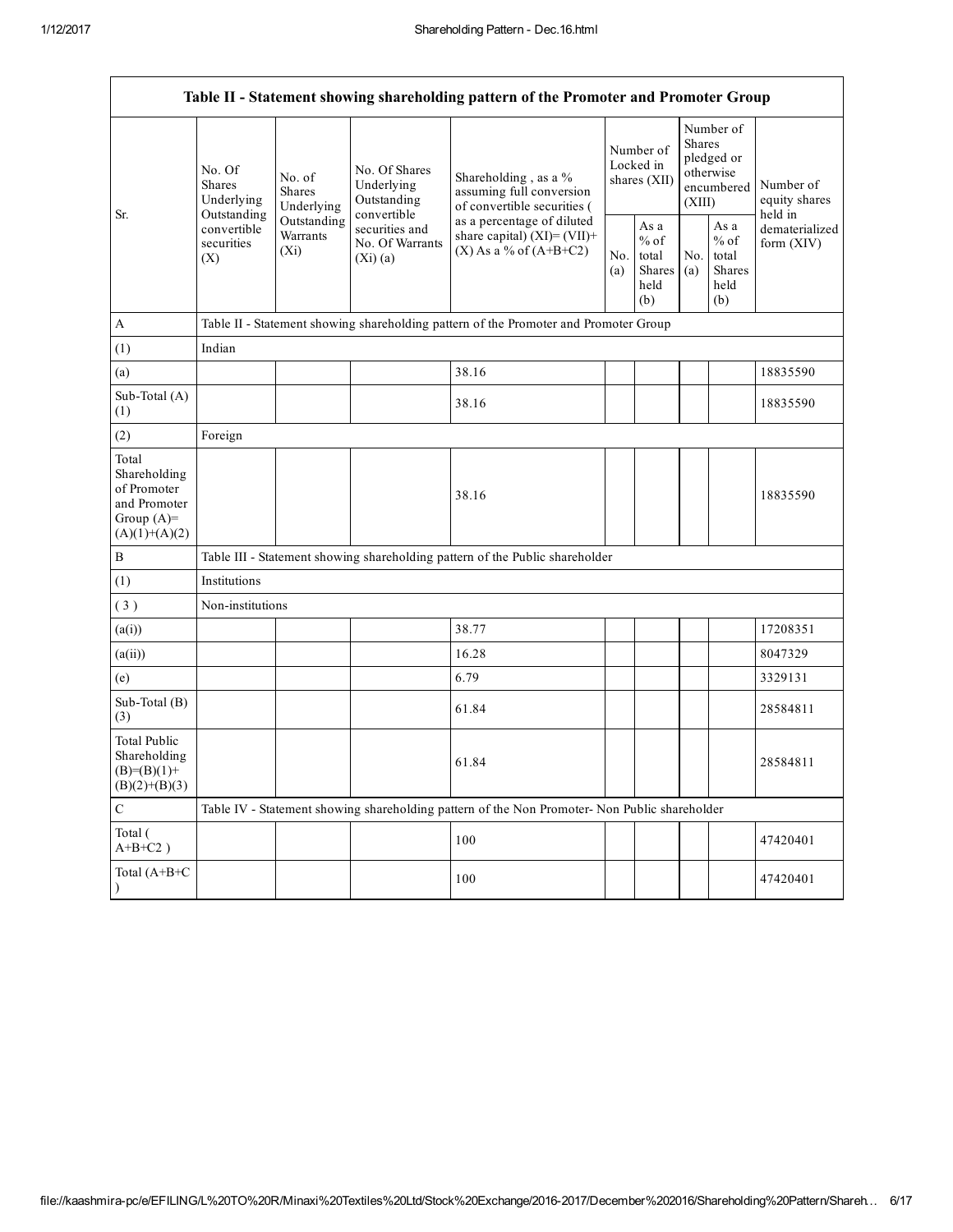|                                                                                         | Table II - Statement showing shareholding pattern of the Promoter and Promoter Group     |                                    |                                                             |                                                                                               |                                        |                                                  |                                                                               |                                                         |                                       |  |  |
|-----------------------------------------------------------------------------------------|------------------------------------------------------------------------------------------|------------------------------------|-------------------------------------------------------------|-----------------------------------------------------------------------------------------------|----------------------------------------|--------------------------------------------------|-------------------------------------------------------------------------------|---------------------------------------------------------|---------------------------------------|--|--|
| Sr.                                                                                     | No. Of<br><b>Shares</b><br>Underlying<br>Outstanding<br>convertible<br>securities<br>(X) | No. of<br>Shares<br>Underlying     | No. Of Shares<br>Underlying<br>Outstanding                  | Shareholding, as a %<br>assuming full conversion<br>of convertible securities (               | Number of<br>Locked in<br>shares (XII) |                                                  | Number of<br><b>Shares</b><br>pledged or<br>otherwise<br>encumbered<br>(XIII) |                                                         | Number of<br>equity shares<br>held in |  |  |
|                                                                                         |                                                                                          | Outstanding<br>Warrants<br>$(X_i)$ | convertible<br>securities and<br>No. Of Warrants<br>(Xi)(a) | as a percentage of diluted<br>share capital) $(XI) = (VII) +$<br>$(X)$ As a % of $(A+B+C2)$   |                                        | As a<br>$%$ of<br>total<br>Shares<br>held<br>(b) | No.<br>(a)                                                                    | As a<br>$%$ of<br>total<br><b>Shares</b><br>held<br>(b) | dematerialized<br>form (XIV)          |  |  |
| $\mathbf{A}$                                                                            |                                                                                          |                                    |                                                             | Table II - Statement showing shareholding pattern of the Promoter and Promoter Group          |                                        |                                                  |                                                                               |                                                         |                                       |  |  |
| (1)                                                                                     | Indian                                                                                   |                                    |                                                             |                                                                                               |                                        |                                                  |                                                                               |                                                         |                                       |  |  |
| (a)                                                                                     |                                                                                          |                                    |                                                             | 38.16                                                                                         |                                        |                                                  |                                                                               |                                                         | 18835590                              |  |  |
| Sub-Total (A)<br>(1)                                                                    |                                                                                          |                                    |                                                             | 38.16                                                                                         |                                        |                                                  |                                                                               |                                                         | 18835590                              |  |  |
| (2)                                                                                     | Foreign                                                                                  |                                    |                                                             |                                                                                               |                                        |                                                  |                                                                               |                                                         |                                       |  |  |
| Total<br>Shareholding<br>of Promoter<br>and Promoter<br>Group $(A)=$<br>$(A)(1)+(A)(2)$ |                                                                                          |                                    |                                                             | 38.16                                                                                         |                                        |                                                  |                                                                               |                                                         | 18835590                              |  |  |
| $\, {\bf B}$                                                                            |                                                                                          |                                    |                                                             | Table III - Statement showing shareholding pattern of the Public shareholder                  |                                        |                                                  |                                                                               |                                                         |                                       |  |  |
| (1)                                                                                     | Institutions                                                                             |                                    |                                                             |                                                                                               |                                        |                                                  |                                                                               |                                                         |                                       |  |  |
| (3)                                                                                     | Non-institutions                                                                         |                                    |                                                             |                                                                                               |                                        |                                                  |                                                                               |                                                         |                                       |  |  |
| (a(i))                                                                                  |                                                                                          |                                    |                                                             | 38.77                                                                                         |                                        |                                                  |                                                                               |                                                         | 17208351                              |  |  |
| (a(ii))                                                                                 |                                                                                          |                                    |                                                             | 16.28                                                                                         |                                        |                                                  |                                                                               |                                                         | 8047329                               |  |  |
| (e)                                                                                     |                                                                                          |                                    |                                                             | 6.79                                                                                          |                                        |                                                  |                                                                               |                                                         | 3329131                               |  |  |
| Sub-Total (B)<br>(3)                                                                    |                                                                                          |                                    |                                                             | 61.84                                                                                         |                                        |                                                  |                                                                               |                                                         | 28584811                              |  |  |
| <b>Total Public</b><br>Shareholding<br>$(B)=(B)(1)+$<br>$(B)(2)+(B)(3)$                 |                                                                                          |                                    |                                                             | 61.84                                                                                         |                                        |                                                  |                                                                               |                                                         | 28584811                              |  |  |
| $\mathbf C$                                                                             |                                                                                          |                                    |                                                             | Table IV - Statement showing shareholding pattern of the Non Promoter- Non Public shareholder |                                        |                                                  |                                                                               |                                                         |                                       |  |  |
| Total (<br>$A+B+C2$ )                                                                   |                                                                                          |                                    |                                                             | 100                                                                                           |                                        |                                                  |                                                                               |                                                         | 47420401                              |  |  |
| Total (A+B+C                                                                            |                                                                                          |                                    |                                                             | 100                                                                                           |                                        |                                                  |                                                                               |                                                         | 47420401                              |  |  |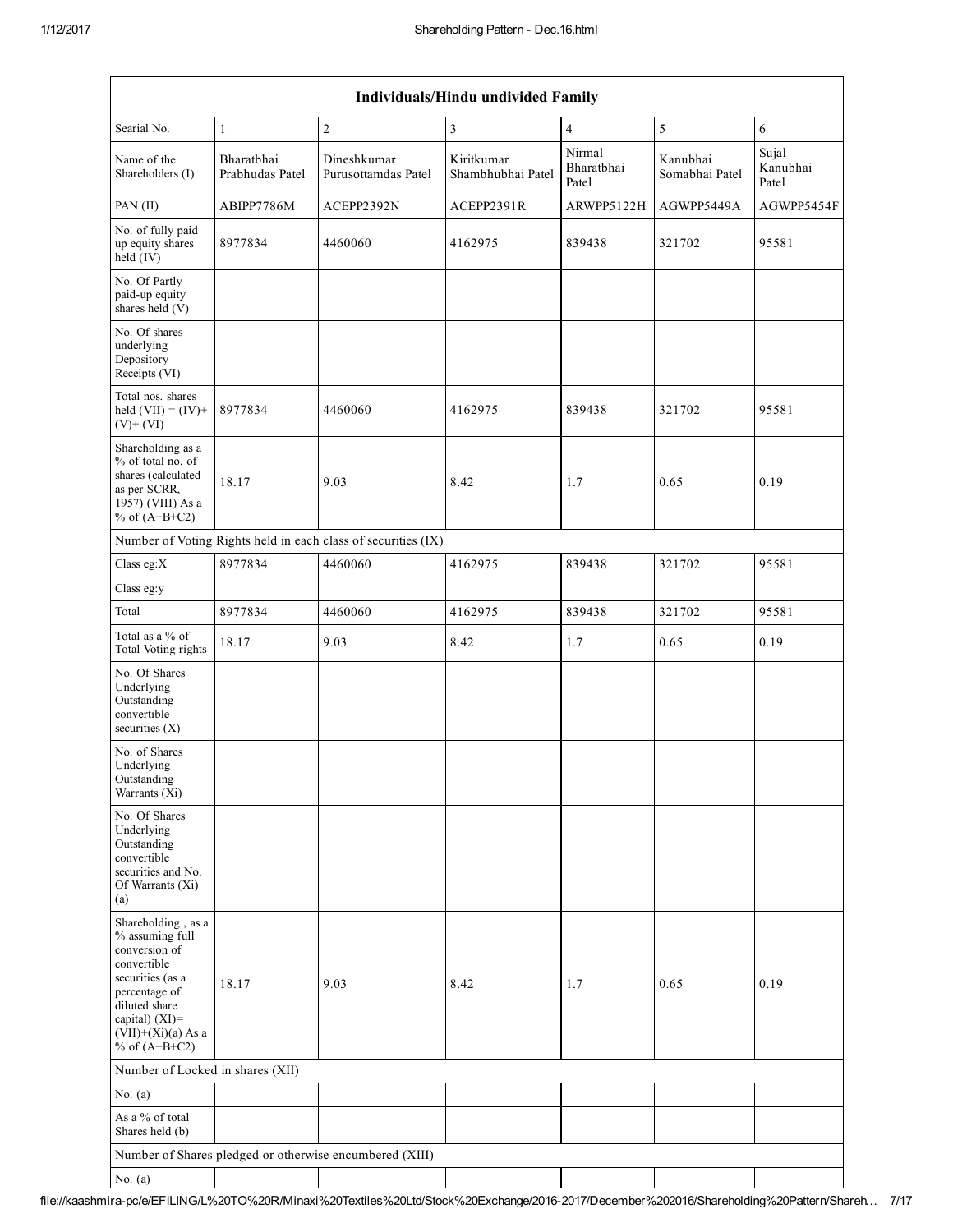| Individuals/Hindu undivided Family                                                                                                                                                       |                               |                                                         |                                 |                               |                            |                            |  |  |  |  |  |
|------------------------------------------------------------------------------------------------------------------------------------------------------------------------------------------|-------------------------------|---------------------------------------------------------|---------------------------------|-------------------------------|----------------------------|----------------------------|--|--|--|--|--|
| Searial No.                                                                                                                                                                              | $\mathbf{1}$                  | $\overline{c}$                                          | 3                               | $\overline{4}$                | 5                          | 6                          |  |  |  |  |  |
| Name of the<br>Shareholders (I)                                                                                                                                                          | Bharathhai<br>Prabhudas Patel | Dineshkumar<br>Purusottamdas Patel                      | Kiritkumar<br>Shambhubhai Patel | Nirmal<br>Bharatbhai<br>Patel | Kanubhai<br>Somabhai Patel | Sujal<br>Kanubhai<br>Patel |  |  |  |  |  |
| PAN (II)                                                                                                                                                                                 | ABIPP7786M                    | ACEPP2392N                                              | ACEPP2391R                      | ARWPP5122H                    | AGWPP5449A                 | AGWPP5454F                 |  |  |  |  |  |
| No. of fully paid<br>up equity shares<br>$held$ (IV)                                                                                                                                     | 8977834                       | 4460060                                                 | 4162975                         | 839438                        | 321702                     | 95581                      |  |  |  |  |  |
| No. Of Partly<br>paid-up equity<br>shares held (V)                                                                                                                                       |                               |                                                         |                                 |                               |                            |                            |  |  |  |  |  |
| No. Of shares<br>underlying<br>Depository<br>Receipts (VI)                                                                                                                               |                               |                                                         |                                 |                               |                            |                            |  |  |  |  |  |
| Total nos. shares<br>held $(VII) = (IV) +$<br>$(V)+(VI)$                                                                                                                                 | 8977834                       | 4460060                                                 | 4162975                         | 839438                        | 321702                     | 95581                      |  |  |  |  |  |
| Shareholding as a<br>% of total no. of<br>shares (calculated<br>as per SCRR,<br>1957) (VIII) As a<br>% of $(A+B+C2)$                                                                     | 18.17                         | 9.03                                                    | 8.42                            | 1.7                           | 0.65                       | 0.19                       |  |  |  |  |  |
| Number of Voting Rights held in each class of securities (IX)                                                                                                                            |                               |                                                         |                                 |                               |                            |                            |  |  |  |  |  |
| Class eg: $X$                                                                                                                                                                            | 8977834                       | 4460060                                                 | 4162975                         | 839438                        | 321702                     | 95581                      |  |  |  |  |  |
| Class eg:y                                                                                                                                                                               |                               |                                                         |                                 |                               |                            |                            |  |  |  |  |  |
| Total                                                                                                                                                                                    | 8977834                       | 4460060                                                 | 4162975                         | 839438                        | 321702                     | 95581                      |  |  |  |  |  |
| Total as a % of<br>Total Voting rights                                                                                                                                                   | 18.17                         | 9.03                                                    | 8.42                            | 1.7                           | 0.65                       | 0.19                       |  |  |  |  |  |
| No. Of Shares<br>Underlying<br>Outstanding<br>convertible<br>securities $(X)$                                                                                                            |                               |                                                         |                                 |                               |                            |                            |  |  |  |  |  |
| No. of Shares<br>Underlying<br>Outstanding<br>Warrants (Xi)                                                                                                                              |                               |                                                         |                                 |                               |                            |                            |  |  |  |  |  |
| No. Of Shares<br>Underlying<br>Outstanding<br>convertible<br>securities and No.<br>Of Warrants (Xi)<br>(a)                                                                               |                               |                                                         |                                 |                               |                            |                            |  |  |  |  |  |
| Shareholding, as a<br>% assuming full<br>conversion of<br>convertible<br>securities (as a<br>percentage of<br>diluted share<br>capital) (XI)=<br>$(VII)+(Xi)(a)$ As a<br>% of $(A+B+C2)$ | 18.17                         | 9.03                                                    | 8.42                            | 1.7                           | 0.65                       | 0.19                       |  |  |  |  |  |
| Number of Locked in shares (XII)                                                                                                                                                         |                               |                                                         |                                 |                               |                            |                            |  |  |  |  |  |
| No. $(a)$                                                                                                                                                                                |                               |                                                         |                                 |                               |                            |                            |  |  |  |  |  |
| As a % of total<br>Shares held (b)                                                                                                                                                       |                               |                                                         |                                 |                               |                            |                            |  |  |  |  |  |
|                                                                                                                                                                                          |                               | Number of Shares pledged or otherwise encumbered (XIII) |                                 |                               |                            |                            |  |  |  |  |  |
| No. $(a)$                                                                                                                                                                                |                               |                                                         |                                 |                               |                            |                            |  |  |  |  |  |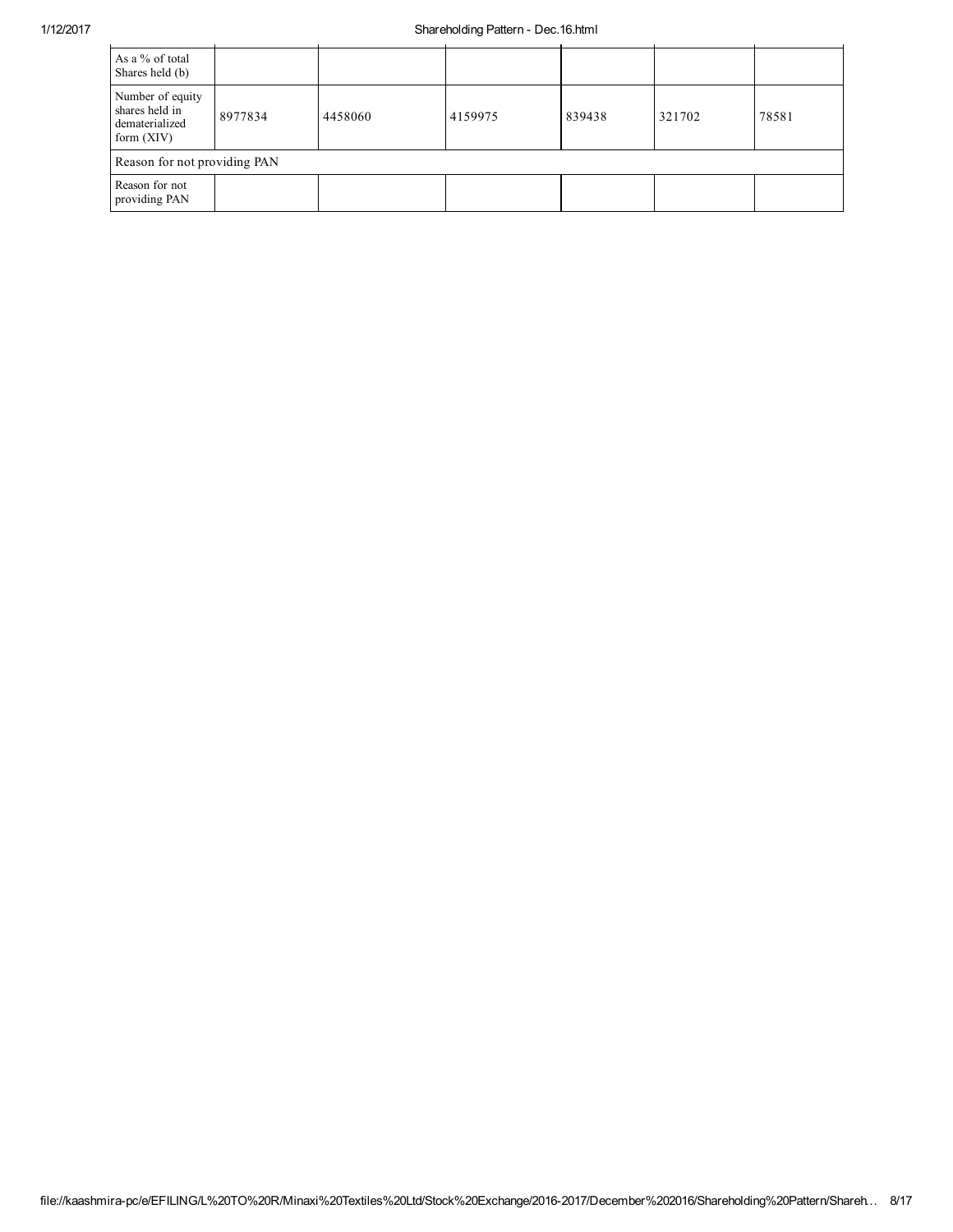## 1/12/2017 Shareholding Pattern Dec.16.html

| As a % of total<br>Shares held (b)                                   |         |         |         |        |        |       |  |  |  |  |
|----------------------------------------------------------------------|---------|---------|---------|--------|--------|-------|--|--|--|--|
| Number of equity<br>shares held in<br>dematerialized<br>form $(XIV)$ | 8977834 | 4458060 | 4159975 | 839438 | 321702 | 78581 |  |  |  |  |
| Reason for not providing PAN                                         |         |         |         |        |        |       |  |  |  |  |
| Reason for not<br>providing PAN                                      |         |         |         |        |        |       |  |  |  |  |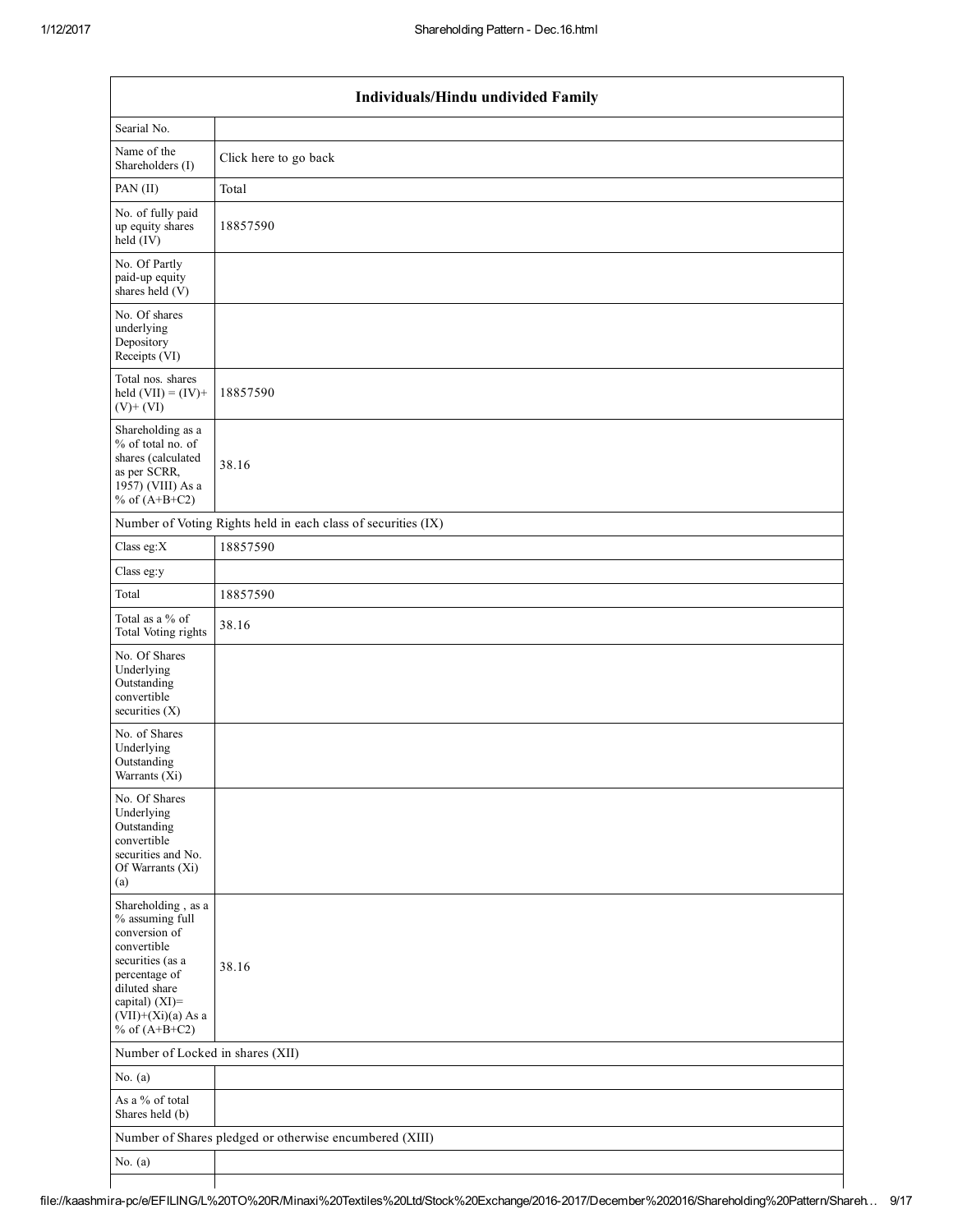|                                                                                                                                                                                          | Individuals/Hindu undivided Family                            |  |  |  |  |  |  |  |  |
|------------------------------------------------------------------------------------------------------------------------------------------------------------------------------------------|---------------------------------------------------------------|--|--|--|--|--|--|--|--|
| Searial No.                                                                                                                                                                              |                                                               |  |  |  |  |  |  |  |  |
| Name of the<br>Shareholders (I)                                                                                                                                                          | Click here to go back                                         |  |  |  |  |  |  |  |  |
| PAN(II)                                                                                                                                                                                  | Total                                                         |  |  |  |  |  |  |  |  |
| No. of fully paid<br>up equity shares<br>held $(V)$                                                                                                                                      | 18857590                                                      |  |  |  |  |  |  |  |  |
| No. Of Partly<br>paid-up equity<br>shares held (V)                                                                                                                                       |                                                               |  |  |  |  |  |  |  |  |
| No. Of shares<br>underlying<br>Depository<br>Receipts (VI)                                                                                                                               |                                                               |  |  |  |  |  |  |  |  |
| Total nos. shares<br>held $(VII) = (IV) +$<br>$(V)$ + $(VI)$                                                                                                                             | 18857590                                                      |  |  |  |  |  |  |  |  |
| Shareholding as a<br>% of total no. of<br>shares (calculated<br>as per SCRR,<br>1957) (VIII) As a<br>% of $(A+B+C2)$                                                                     | 38.16                                                         |  |  |  |  |  |  |  |  |
|                                                                                                                                                                                          | Number of Voting Rights held in each class of securities (IX) |  |  |  |  |  |  |  |  |
| Class eg: $X$                                                                                                                                                                            | 18857590                                                      |  |  |  |  |  |  |  |  |
| Class eg:y                                                                                                                                                                               |                                                               |  |  |  |  |  |  |  |  |
| Total                                                                                                                                                                                    | 18857590                                                      |  |  |  |  |  |  |  |  |
| Total as a % of<br>Total Voting rights                                                                                                                                                   | 38.16                                                         |  |  |  |  |  |  |  |  |
| No. Of Shares<br>Underlying<br>Outstanding<br>convertible<br>securities $(X)$                                                                                                            |                                                               |  |  |  |  |  |  |  |  |
| No. of Shares<br>Underlying<br>Outstanding<br>Warrants (X1)                                                                                                                              |                                                               |  |  |  |  |  |  |  |  |
| No. Of Shares<br>Underlying<br>Outstanding<br>convertible<br>securities and No.<br>Of Warrants (Xi)<br>(a)                                                                               |                                                               |  |  |  |  |  |  |  |  |
| Shareholding, as a<br>% assuming full<br>conversion of<br>convertible<br>securities (as a<br>percentage of<br>diluted share<br>capital) (XI)=<br>$(VII)+(Xi)(a)$ As a<br>% of $(A+B+C2)$ | 38.16                                                         |  |  |  |  |  |  |  |  |
| Number of Locked in shares (XII)                                                                                                                                                         |                                                               |  |  |  |  |  |  |  |  |
| No. $(a)$                                                                                                                                                                                |                                                               |  |  |  |  |  |  |  |  |
| As a % of total<br>Shares held (b)                                                                                                                                                       |                                                               |  |  |  |  |  |  |  |  |
|                                                                                                                                                                                          | Number of Shares pledged or otherwise encumbered (XIII)       |  |  |  |  |  |  |  |  |
| No. $(a)$                                                                                                                                                                                |                                                               |  |  |  |  |  |  |  |  |
|                                                                                                                                                                                          |                                                               |  |  |  |  |  |  |  |  |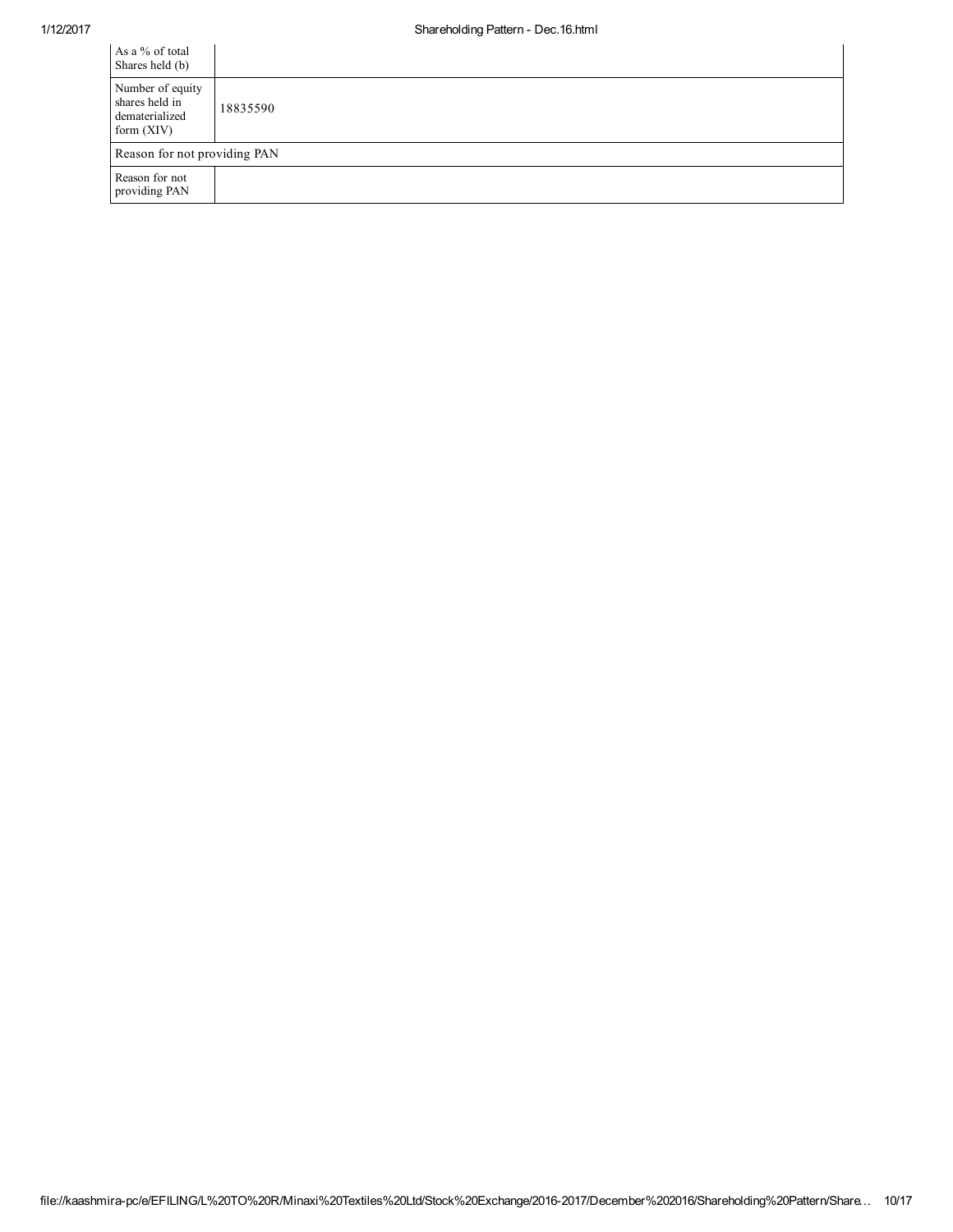| As a % of total<br>Shares held (b)                                   |          |  |  |  |  |
|----------------------------------------------------------------------|----------|--|--|--|--|
| Number of equity<br>shares held in<br>dematerialized<br>form $(XIV)$ | 18835590 |  |  |  |  |
| Reason for not providing PAN                                         |          |  |  |  |  |
| Reason for not<br>providing PAN                                      |          |  |  |  |  |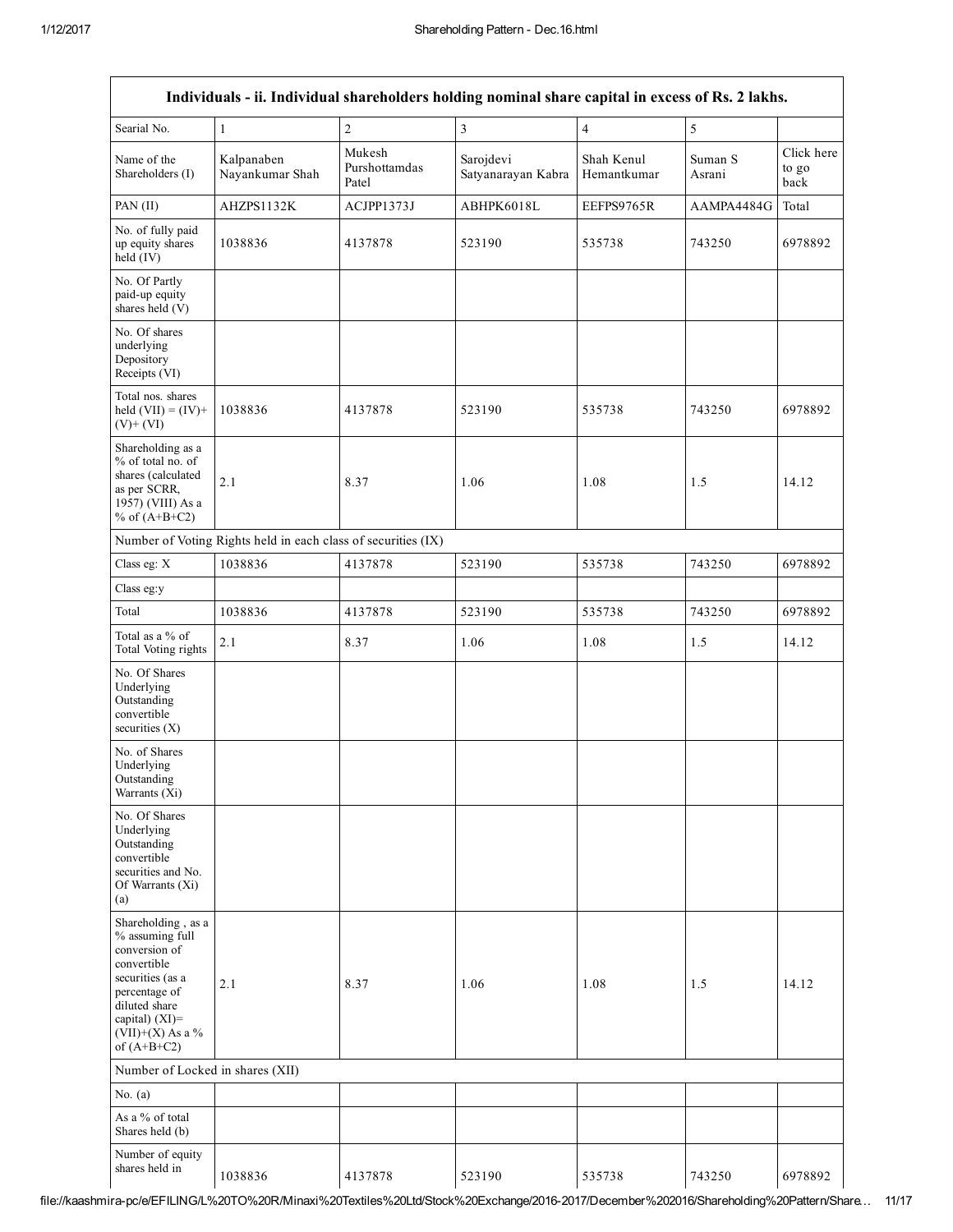|                                                                                                                                                                                      |                                                               |                                  | Individuals - ii. Individual shareholders holding nominal share capital in excess of Rs. 2 lakhs. |                           |                   |                             |
|--------------------------------------------------------------------------------------------------------------------------------------------------------------------------------------|---------------------------------------------------------------|----------------------------------|---------------------------------------------------------------------------------------------------|---------------------------|-------------------|-----------------------------|
| Searial No.                                                                                                                                                                          | $\mathbf{1}$                                                  | $\sqrt{2}$                       | 3                                                                                                 | $\overline{4}$            | 5                 |                             |
| Name of the<br>Shareholders (I)                                                                                                                                                      | Kalpanaben<br>Nayankumar Shah                                 | Mukesh<br>Purshottamdas<br>Patel | Sarojdevi<br>Satyanarayan Kabra                                                                   | Shah Kenul<br>Hemantkumar | Suman S<br>Asrani | Click here<br>to go<br>back |
| PAN (II)                                                                                                                                                                             | AHZPS1132K                                                    | ACJPP1373J                       | ABHPK6018L                                                                                        | EEFPS9765R                | AAMPA4484G        | Total                       |
| No. of fully paid<br>up equity shares<br>held (IV)                                                                                                                                   | 1038836                                                       | 4137878                          | 523190                                                                                            | 535738                    | 743250            | 6978892                     |
| No. Of Partly<br>paid-up equity<br>shares held (V)                                                                                                                                   |                                                               |                                  |                                                                                                   |                           |                   |                             |
| No. Of shares<br>underlying<br>Depository<br>Receipts (VI)                                                                                                                           |                                                               |                                  |                                                                                                   |                           |                   |                             |
| Total nos. shares<br>held $(VII) = (IV) +$<br>$(V)+(VI)$                                                                                                                             | 1038836                                                       | 4137878                          | 523190                                                                                            | 535738                    | 743250            | 6978892                     |
| Shareholding as a<br>% of total no. of<br>shares (calculated<br>as per SCRR,<br>1957) (VIII) As a<br>% of $(A+B+C2)$                                                                 | 2.1                                                           | 8.37                             | 1.06                                                                                              | 1.08                      | 1.5               | 14.12                       |
|                                                                                                                                                                                      | Number of Voting Rights held in each class of securities (IX) |                                  |                                                                                                   |                           |                   |                             |
| Class eg: X                                                                                                                                                                          | 1038836                                                       | 4137878                          | 523190                                                                                            | 535738                    | 743250            | 6978892                     |
| Class eg:y                                                                                                                                                                           |                                                               |                                  |                                                                                                   |                           |                   |                             |
| Total                                                                                                                                                                                | 1038836                                                       | 4137878                          | 523190                                                                                            | 535738                    | 743250            | 6978892                     |
| Total as a % of<br>Total Voting rights                                                                                                                                               | 2.1                                                           | 8.37                             | 1.06                                                                                              | 1.08                      | 1.5               | 14.12                       |
| No. Of Shares<br>Underlying<br>Outstanding<br>convertible<br>securities $(X)$                                                                                                        |                                                               |                                  |                                                                                                   |                           |                   |                             |
| No. of Shares<br>Underlying<br>Outstanding<br>Warrants (Xi)                                                                                                                          |                                                               |                                  |                                                                                                   |                           |                   |                             |
| No. Of Shares<br>Underlying<br>Outstanding<br>convertible<br>securities and No.<br>Of Warrants (Xi)<br>(a)                                                                           |                                                               |                                  |                                                                                                   |                           |                   |                             |
| Shareholding, as a<br>% assuming full<br>conversion of<br>convertible<br>securities (as a<br>percentage of<br>diluted share<br>capital) (XI)=<br>$(VII)+(X)$ As a %<br>of $(A+B+C2)$ | 2.1                                                           | 8.37                             | 1.06                                                                                              | 1.08                      | 1.5               | 14.12                       |
| Number of Locked in shares (XII)                                                                                                                                                     |                                                               |                                  |                                                                                                   |                           |                   |                             |
| No. $(a)$                                                                                                                                                                            |                                                               |                                  |                                                                                                   |                           |                   |                             |
| As a % of total<br>Shares held (b)                                                                                                                                                   |                                                               |                                  |                                                                                                   |                           |                   |                             |
| Number of equity<br>shares held in                                                                                                                                                   | 1038836                                                       | 4137878                          | 523190                                                                                            | 535738                    | 743250            | 6978892                     |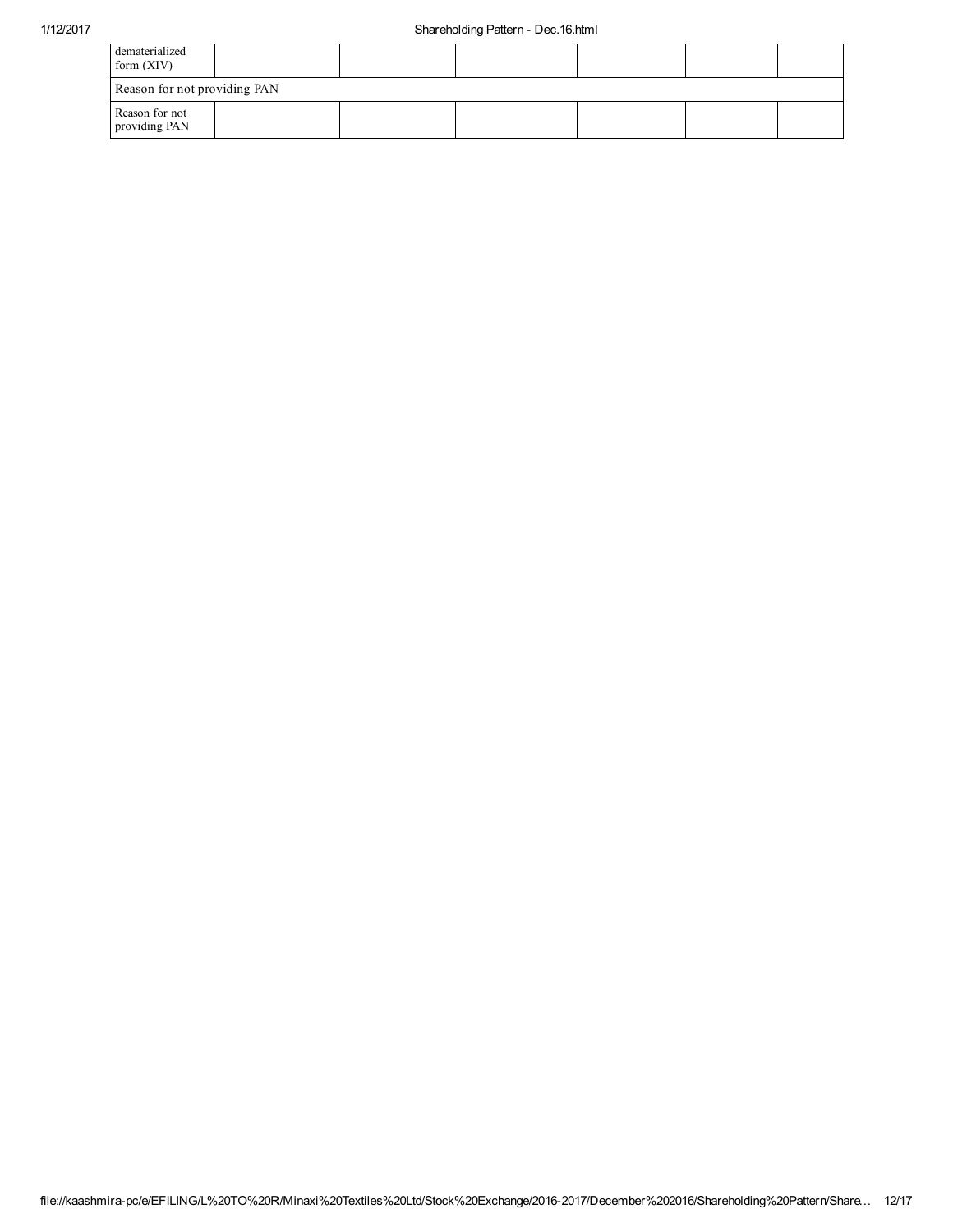| dematerialized<br>form $(XIV)$  |  |  |  |
|---------------------------------|--|--|--|
| Reason for not providing PAN    |  |  |  |
| Reason for not<br>providing PAN |  |  |  |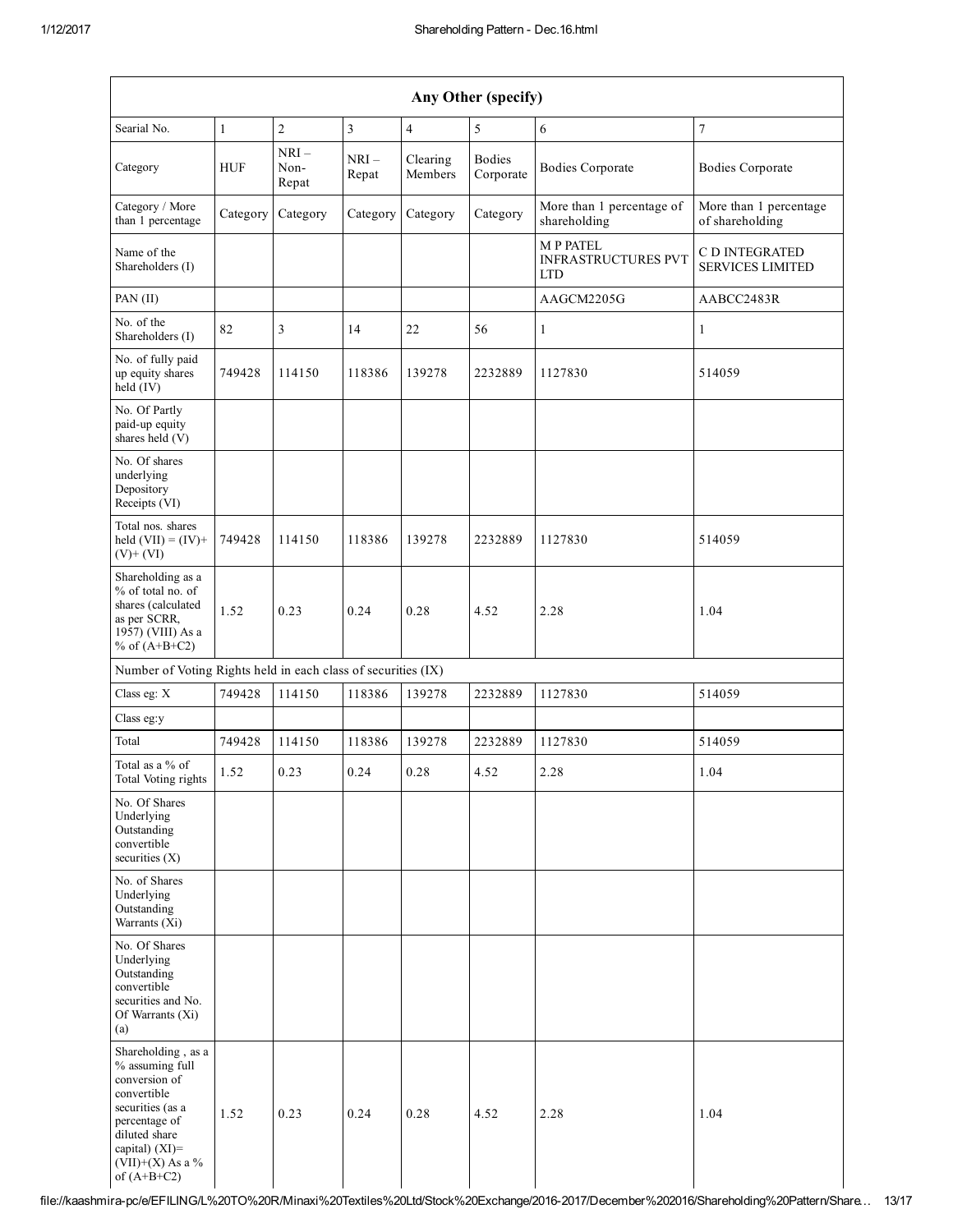| Any Other (specify)                                                                                                                                                                  |                                                               |                         |                 |                     |                            |                                                             |                                           |
|--------------------------------------------------------------------------------------------------------------------------------------------------------------------------------------|---------------------------------------------------------------|-------------------------|-----------------|---------------------|----------------------------|-------------------------------------------------------------|-------------------------------------------|
| Searial No.                                                                                                                                                                          | $\mathbf{1}$                                                  | $\sqrt{2}$              | $\overline{3}$  | $\overline{4}$      | 5                          | 6                                                           | $\tau$                                    |
| Category                                                                                                                                                                             | <b>HUF</b>                                                    | $NRI-$<br>Non-<br>Repat | $NRI-$<br>Repat | Clearing<br>Members | <b>Bodies</b><br>Corporate | <b>Bodies Corporate</b>                                     | <b>Bodies Corporate</b>                   |
| Category / More<br>than 1 percentage                                                                                                                                                 | Category                                                      | Category                | Category        | Category            | Category                   | More than 1 percentage of<br>shareholding                   | More than 1 percentage<br>of shareholding |
| Name of the<br>Shareholders (I)                                                                                                                                                      |                                                               |                         |                 |                     |                            | <b>MP PATEL</b><br><b>INFRASTRUCTURES PVT</b><br><b>LTD</b> | C D INTEGRATED<br><b>SERVICES LIMITED</b> |
| PAN (II)                                                                                                                                                                             |                                                               |                         |                 |                     |                            | AAGCM2205G                                                  | AABCC2483R                                |
| No. of the<br>Shareholders (I)                                                                                                                                                       | 82                                                            | 3                       | 14              | 22                  | 56                         | $\mathbf{1}$                                                | 1                                         |
| No. of fully paid<br>up equity shares<br>$held$ (IV)                                                                                                                                 | 749428                                                        | 114150                  | 118386          | 139278              | 2232889                    | 1127830                                                     | 514059                                    |
| No. Of Partly<br>paid-up equity<br>shares held (V)                                                                                                                                   |                                                               |                         |                 |                     |                            |                                                             |                                           |
| No. Of shares<br>underlying<br>Depository<br>Receipts (VI)                                                                                                                           |                                                               |                         |                 |                     |                            |                                                             |                                           |
| Total nos. shares<br>held $(VII) = (IV) +$<br>$(V)+(VI)$                                                                                                                             | 749428                                                        | 114150                  | 118386          | 139278              | 2232889                    | 1127830                                                     | 514059                                    |
| Shareholding as a<br>% of total no. of<br>shares (calculated<br>as per SCRR,<br>1957) (VIII) As a<br>% of $(A+B+C2)$                                                                 | 1.52                                                          | 0.23                    | 0.24            | 0.28                | 4.52                       | 2.28                                                        | 1.04                                      |
|                                                                                                                                                                                      | Number of Voting Rights held in each class of securities (IX) |                         |                 |                     |                            |                                                             |                                           |
| Class eg: X                                                                                                                                                                          | 749428                                                        | 114150                  | 118386          | 139278              | 2232889                    | 1127830                                                     | 514059                                    |
| Class eg:y                                                                                                                                                                           |                                                               |                         |                 |                     |                            |                                                             |                                           |
| Total                                                                                                                                                                                | 749428                                                        | 114150                  | 118386          | 139278              | 2232889                    | 1127830                                                     | 514059                                    |
| Total as a % of<br>Total Voting rights                                                                                                                                               | 1.52                                                          | 0.23                    | 0.24            | 0.28                | 4.52                       | 2.28                                                        | 1.04                                      |
| No. Of Shares<br>Underlying<br>Outstanding<br>convertible<br>securities $(X)$                                                                                                        |                                                               |                         |                 |                     |                            |                                                             |                                           |
| No. of Shares<br>Underlying<br>Outstanding<br>Warrants $(X_i)$                                                                                                                       |                                                               |                         |                 |                     |                            |                                                             |                                           |
| No. Of Shares<br>Underlying<br>Outstanding<br>convertible<br>securities and No.<br>Of Warrants (Xi)<br>(a)                                                                           |                                                               |                         |                 |                     |                            |                                                             |                                           |
| Shareholding, as a<br>% assuming full<br>conversion of<br>convertible<br>securities (as a<br>percentage of<br>diluted share<br>capital) (XI)=<br>$(VII)+(X)$ As a %<br>of $(A+B+C2)$ | 1.52                                                          | 0.23                    | 0.24            | 0.28                | 4.52                       | 2.28                                                        | 1.04                                      |

file://kaashmirapc/e/EFILING/L%20TO%20R/Minaxi%20Textiles%20Ltd/Stock%20Exchange/20162017/December%202016/Shareholding%20Pattern/Share… 13/17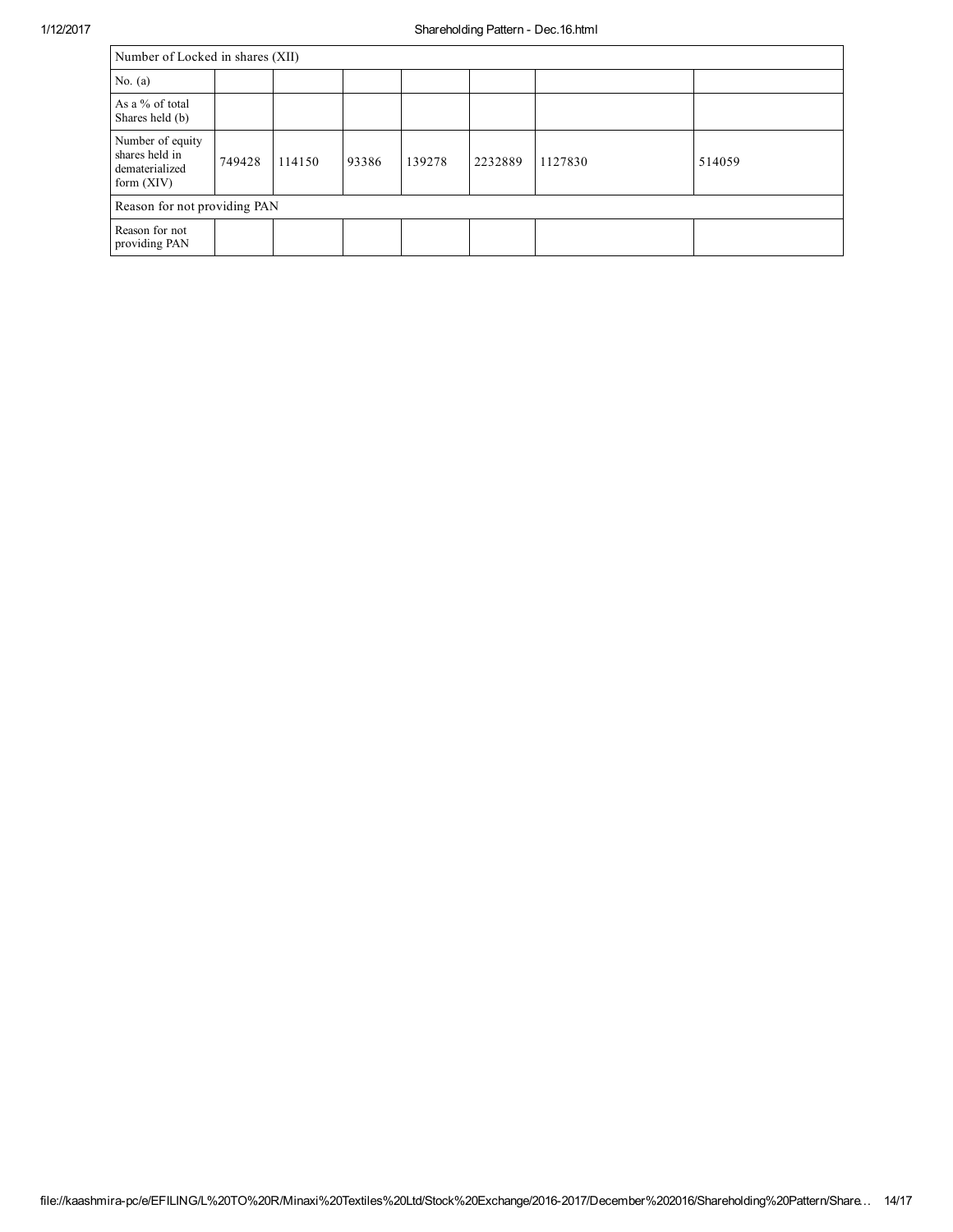| Number of Locked in shares (XII)                                     |        |        |       |        |         |         |        |
|----------------------------------------------------------------------|--------|--------|-------|--------|---------|---------|--------|
| No. $(a)$                                                            |        |        |       |        |         |         |        |
| As a % of total<br>Shares held (b)                                   |        |        |       |        |         |         |        |
| Number of equity<br>shares held in<br>dematerialized<br>form $(XIV)$ | 749428 | 114150 | 93386 | 139278 | 2232889 | 1127830 | 514059 |
| Reason for not providing PAN                                         |        |        |       |        |         |         |        |
| Reason for not<br>providing PAN                                      |        |        |       |        |         |         |        |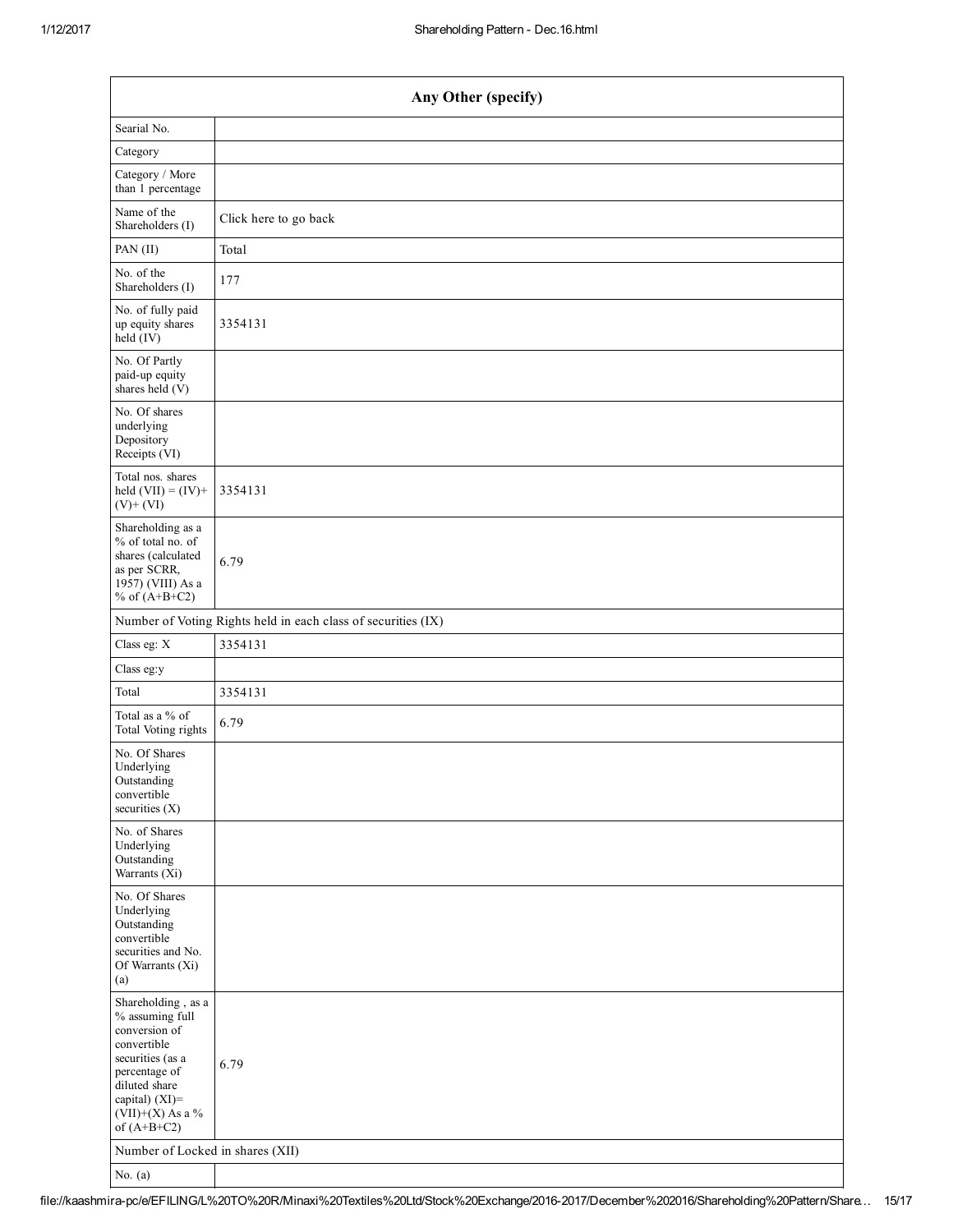| Any Other (specify)                                                                                                                                                                  |                                                               |  |  |  |  |  |  |
|--------------------------------------------------------------------------------------------------------------------------------------------------------------------------------------|---------------------------------------------------------------|--|--|--|--|--|--|
| Searial No.                                                                                                                                                                          |                                                               |  |  |  |  |  |  |
| Category                                                                                                                                                                             |                                                               |  |  |  |  |  |  |
| Category / More<br>than 1 percentage                                                                                                                                                 |                                                               |  |  |  |  |  |  |
| Name of the<br>Shareholders (I)                                                                                                                                                      | Click here to go back                                         |  |  |  |  |  |  |
| PAN (II)                                                                                                                                                                             | Total                                                         |  |  |  |  |  |  |
| No. of the<br>Shareholders (I)                                                                                                                                                       | 177                                                           |  |  |  |  |  |  |
| No. of fully paid<br>up equity shares<br>held (IV)                                                                                                                                   | 3354131                                                       |  |  |  |  |  |  |
| No. Of Partly<br>paid-up equity<br>shares held (V)                                                                                                                                   |                                                               |  |  |  |  |  |  |
| No. Of shares<br>underlying<br>Depository<br>Receipts (VI)                                                                                                                           |                                                               |  |  |  |  |  |  |
| Total nos. shares<br>held $(VII) = (IV) +$<br>$(V)+(VI)$                                                                                                                             | 3354131                                                       |  |  |  |  |  |  |
| Shareholding as a<br>% of total no. of<br>shares (calculated<br>as per SCRR,<br>1957) (VIII) As a<br>% of $(A+B+C2)$                                                                 | 6.79                                                          |  |  |  |  |  |  |
|                                                                                                                                                                                      | Number of Voting Rights held in each class of securities (IX) |  |  |  |  |  |  |
| Class eg: X                                                                                                                                                                          | 3354131                                                       |  |  |  |  |  |  |
| Class eg:y                                                                                                                                                                           |                                                               |  |  |  |  |  |  |
| Total                                                                                                                                                                                | 3354131                                                       |  |  |  |  |  |  |
| Total as a % of<br>Total Voting rights                                                                                                                                               | 6.79                                                          |  |  |  |  |  |  |
| No. Of Shares<br>Underlying<br>Outstanding<br>convertible<br>securities (X)                                                                                                          |                                                               |  |  |  |  |  |  |
| No. of Shares<br>Underlying<br>Outstanding<br>Warrants (Xi)                                                                                                                          |                                                               |  |  |  |  |  |  |
| No. Of Shares<br>Underlying<br>Outstanding<br>convertible<br>securities and No.<br>Of Warrants (Xi)<br>(a)                                                                           |                                                               |  |  |  |  |  |  |
| Shareholding, as a<br>% assuming full<br>conversion of<br>convertible<br>securities (as a<br>percentage of<br>diluted share<br>capital) (XI)=<br>$(VII)+(X)$ As a %<br>of $(A+B+C2)$ | 6.79                                                          |  |  |  |  |  |  |
| Number of Locked in shares (XII)                                                                                                                                                     |                                                               |  |  |  |  |  |  |
| No. $(a)$                                                                                                                                                                            |                                                               |  |  |  |  |  |  |